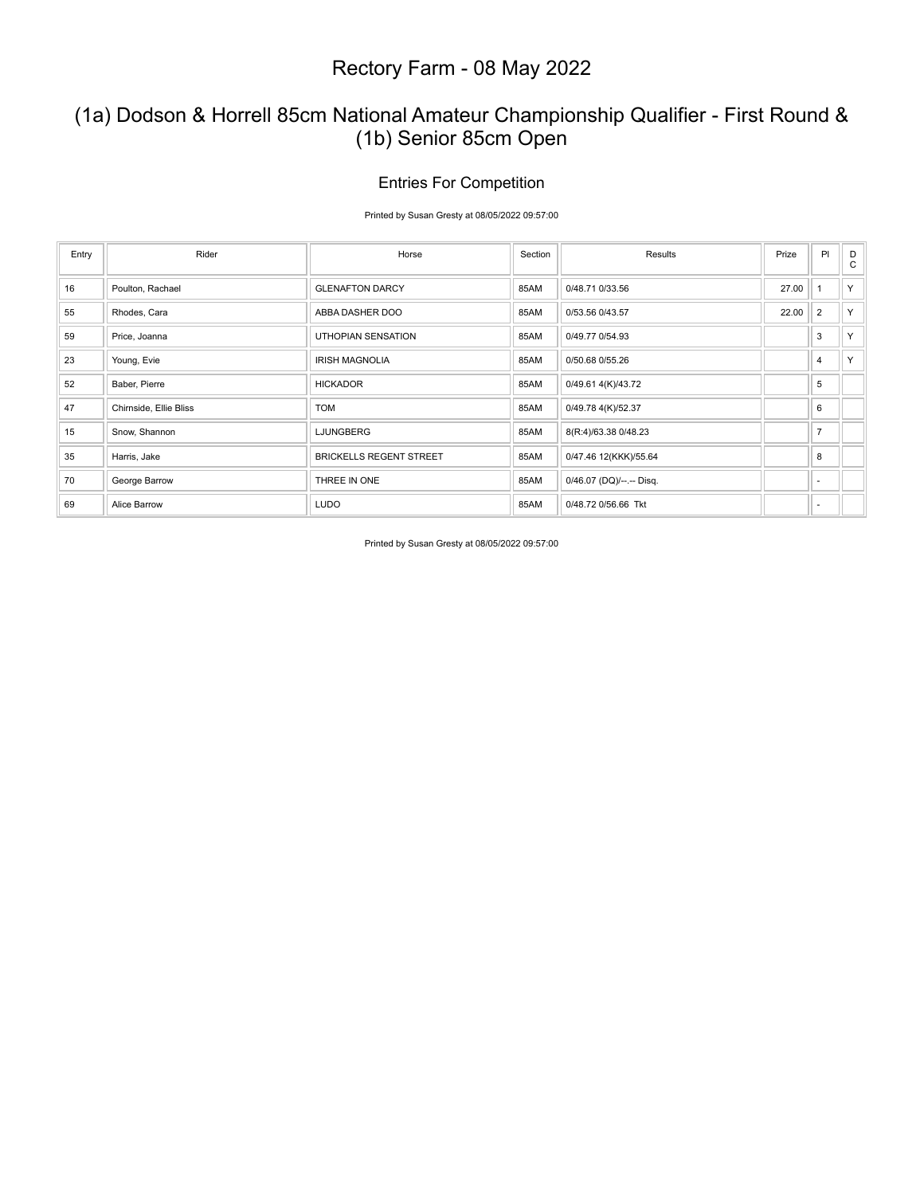## (1a) Dodson & Horrell 85cm National Amateur Championship Qualifier - First Round & (1b) Senior 85cm Open

### Entries For Competition

Printed by Susan Gresty at 08/05/2022 09:57:00

| Entry | Rider                  | Horse                          | Section | Results                  | Prize | PI                       | D<br>$\mathbf{C}$ |
|-------|------------------------|--------------------------------|---------|--------------------------|-------|--------------------------|-------------------|
| 16    | Poulton, Rachael       | <b>GLENAFTON DARCY</b>         | 85AM    | 0/48.71 0/33.56          | 27.00 |                          | Y                 |
| 55    | Rhodes, Cara           | ABBA DASHER DOO                | 85AM    | 0/53.56 0/43.57          | 22.00 | $\overline{2}$           | Y                 |
| 59    | Price, Joanna          | <b>UTHOPIAN SENSATION</b>      | 85AM    | 0/49.77 0/54.93          |       | 3                        | Y.                |
| 23    | Young, Evie            | <b>IRISH MAGNOLIA</b>          | 85AM    | 0/50.68 0/55.26          |       | $\overline{4}$           | Y                 |
| 52    | Baber, Pierre          | <b>HICKADOR</b>                | 85AM    | 0/49.61 4(K)/43.72       |       | 5                        |                   |
| 47    | Chirnside, Ellie Bliss | <b>TOM</b>                     | 85AM    | 0/49.78 4(K)/52.37       |       | 6                        |                   |
| 15    | Snow, Shannon          | <b>LJUNGBERG</b>               | 85AM    | 8(R:4)/63.38 0/48.23     |       | $\overline{7}$           |                   |
| 35    | Harris, Jake           | <b>BRICKELLS REGENT STREET</b> | 85AM    | 0/47.46 12(KKK)/55.64    |       | 8                        |                   |
| 70    | George Barrow          | THREE IN ONE                   | 85AM    | 0/46.07 (DQ)/--.-- Disq. |       |                          |                   |
| 69    | Alice Barrow           | <b>LUDO</b>                    | 85AM    | 0/48.72 0/56.66 Tkt      |       | $\overline{\phantom{a}}$ |                   |

Printed by Susan Gresty at 08/05/2022 09:57:00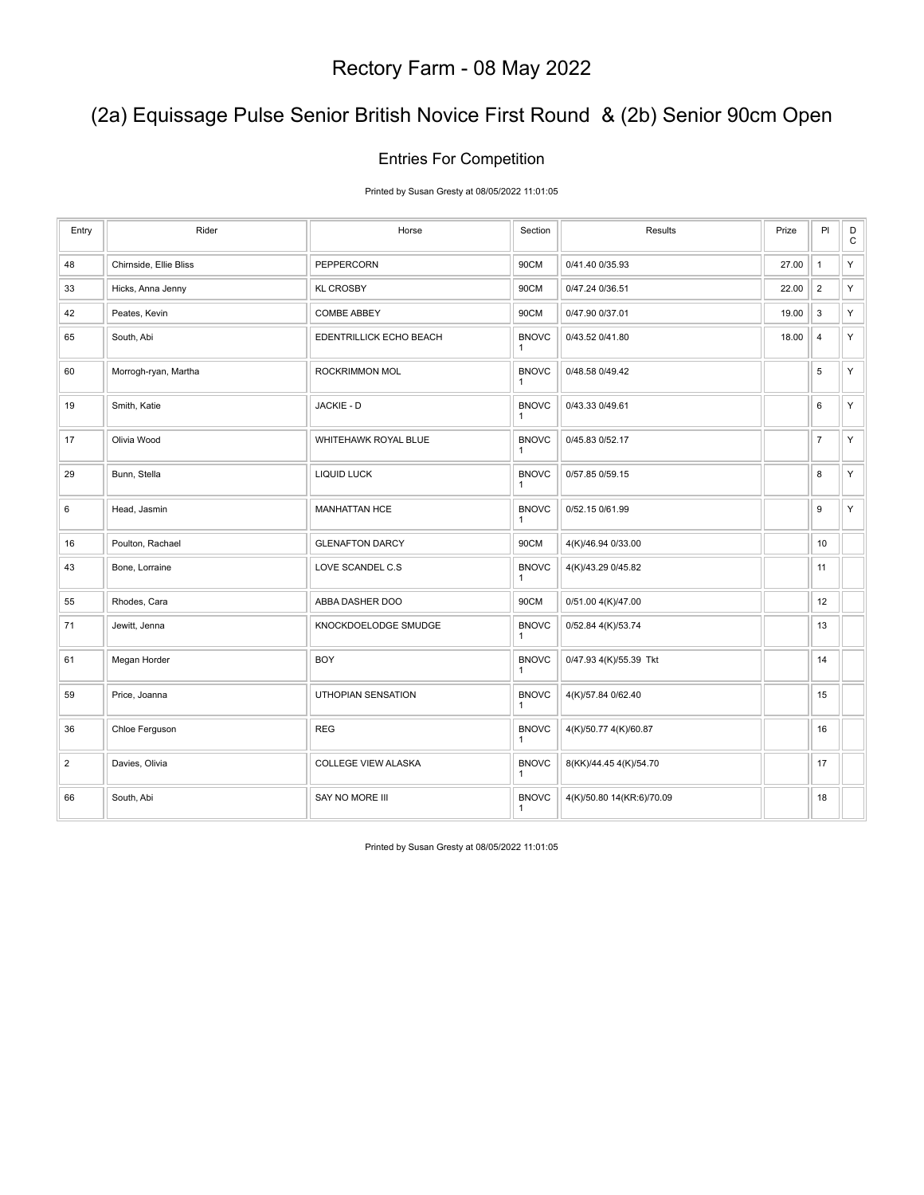# (2a) Equissage Pulse Senior British Novice First Round & (2b) Senior 90cm Open

## Entries For Competition

Printed by Susan Gresty at 08/05/2022 11:01:05

| Entry          | Rider                  | Horse                      | Section                      | Results                   | Prize | PI             | $\mathsf D$<br>$\mathbf C$ |
|----------------|------------------------|----------------------------|------------------------------|---------------------------|-------|----------------|----------------------------|
| 48             | Chirnside, Ellie Bliss | PEPPERCORN                 | 90CM                         | 0/41.40 0/35.93           | 27.00 | $\mathbf{1}$   | Y                          |
| 33             | Hicks, Anna Jenny      | <b>KL CROSBY</b>           | 90CM                         | 0/47.24 0/36.51           | 22.00 | $\overline{2}$ | Y                          |
| 42             | Peates, Kevin          | <b>COMBE ABBEY</b>         | 90CM                         | 0/47.90 0/37.01           | 19.00 | 3              | Y                          |
| 65             | South, Abi             | EDENTRILLICK ECHO BEACH    | <b>BNOVC</b><br>$\mathbf{1}$ | 0/43.52 0/41.80           | 18.00 | $\overline{4}$ | Y                          |
| 60             | Morrogh-ryan, Martha   | ROCKRIMMON MOL             | <b>BNOVC</b><br>$\mathbf{1}$ | 0/48.58 0/49.42           |       | 5              | Y                          |
| 19             | Smith, Katie           | JACKIE - D                 | <b>BNOVC</b><br>1            | 0/43.33 0/49.61           |       | 6              | Y                          |
| 17             | Olivia Wood            | WHITEHAWK ROYAL BLUE       | <b>BNOVC</b><br>1            | 0/45.83 0/52.17           |       | $\overline{7}$ | Y                          |
| 29             | Bunn, Stella           | <b>LIQUID LUCK</b>         | <b>BNOVC</b><br>1            | 0/57.85 0/59.15           |       | 8              | Y                          |
| 6              | Head, Jasmin           | <b>MANHATTAN HCE</b>       | <b>BNOVC</b><br>1            | 0/52.15 0/61.99           |       | 9              | Y                          |
| 16             | Poulton, Rachael       | <b>GLENAFTON DARCY</b>     | 90CM                         | 4(K)/46.94 0/33.00        |       | 10             |                            |
| 43             | Bone, Lorraine         | LOVE SCANDEL C.S           | <b>BNOVC</b><br>1            | 4(K)/43.29 0/45.82        |       | 11             |                            |
| 55             | Rhodes, Cara           | ABBA DASHER DOO            | 90CM                         | 0/51.00 4(K)/47.00        |       | 12             |                            |
| 71             | Jewitt, Jenna          | KNOCKDOELODGE SMUDGE       | <b>BNOVC</b><br>$\mathbf{1}$ | 0/52.84 4(K)/53.74        |       | 13             |                            |
| 61             | Megan Horder           | <b>BOY</b>                 | <b>BNOVC</b><br>$\mathbf{1}$ | 0/47.93 4(K)/55.39 Tkt    |       | 14             |                            |
| 59             | Price, Joanna          | UTHOPIAN SENSATION         | <b>BNOVC</b><br>1            | 4(K)/57.84 0/62.40        |       | 15             |                            |
| 36             | Chloe Ferguson         | <b>REG</b>                 | <b>BNOVC</b><br>$\mathbf{1}$ | 4(K)/50.77 4(K)/60.87     |       | 16             |                            |
| $\overline{2}$ | Davies, Olivia         | <b>COLLEGE VIEW ALASKA</b> | <b>BNOVC</b><br>1            | 8(KK)/44.45 4(K)/54.70    |       | 17             |                            |
| 66             | South, Abi             | SAY NO MORE III            | <b>BNOVC</b><br>1            | 4(K)/50.80 14(KR:6)/70.09 |       | 18             |                            |

Printed by Susan Gresty at 08/05/2022 11:01:05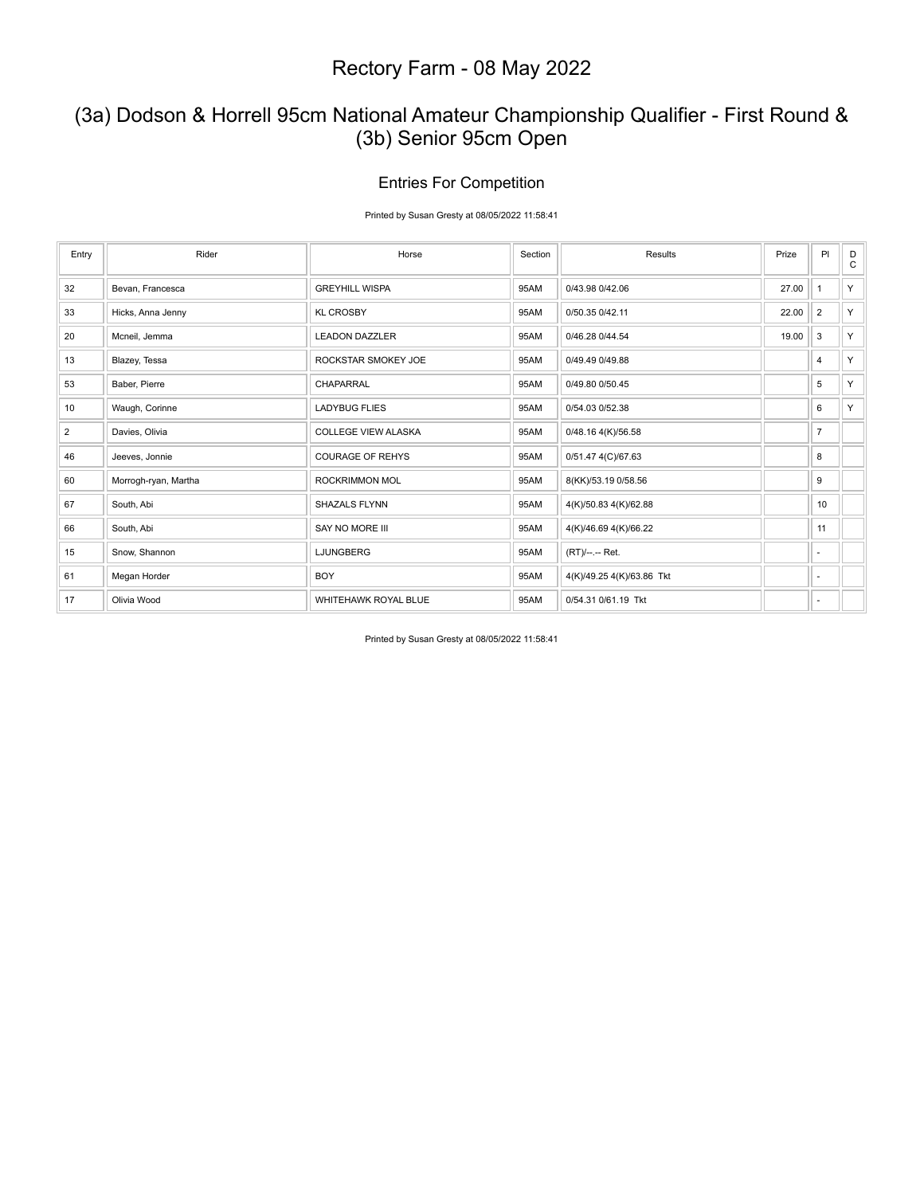## (3a) Dodson & Horrell 95cm National Amateur Championship Qualifier - First Round & (3b) Senior 95cm Open

## Entries For Competition

Printed by Susan Gresty at 08/05/2022 11:58:41

| Entry          | Rider                | Horse                      | Section | Results                   | Prize | PI             | D<br>$\mathbf C$ |
|----------------|----------------------|----------------------------|---------|---------------------------|-------|----------------|------------------|
| 32             | Bevan, Francesca     | <b>GREYHILL WISPA</b>      | 95AM    | 0/43.98 0/42.06           | 27.00 |                | Y                |
| 33             | Hicks, Anna Jenny    | <b>KL CROSBY</b>           | 95AM    | 0/50.35 0/42.11           | 22.00 | 2              | Y                |
| 20             | Mcneil, Jemma        | <b>LEADON DAZZLER</b>      | 95AM    | 0/46.28 0/44.54           | 19.00 | 3              | Y                |
| 13             | Blazey, Tessa        | ROCKSTAR SMOKEY JOE        | 95AM    | 0/49.49 0/49.88           |       | $\overline{4}$ | Y                |
| 53             | Baber, Pierre        | <b>CHAPARRAL</b>           | 95AM    | 0/49.80 0/50.45           |       | 5              | Y                |
| 10             | Waugh, Corinne       | <b>LADYBUG FLIES</b>       | 95AM    | 0/54.03 0/52.38           |       | 6              | Y                |
| $\overline{2}$ | Davies, Olivia       | <b>COLLEGE VIEW ALASKA</b> | 95AM    | 0/48.16 4(K)/56.58        |       | $\overline{7}$ |                  |
| 46             | Jeeves, Jonnie       | <b>COURAGE OF REHYS</b>    | 95AM    | 0/51.47 4(C)/67.63        |       | 8              |                  |
| 60             | Morrogh-ryan, Martha | ROCKRIMMON MOL             | 95AM    | 8(KK)/53.19 0/58.56       |       | 9              |                  |
| 67             | South, Abi           | SHAZALS FLYNN              | 95AM    | 4(K)/50.83 4(K)/62.88     |       | 10             |                  |
| 66             | South, Abi           | SAY NO MORE III            | 95AM    | 4(K)/46.69 4(K)/66.22     |       | 11             |                  |
| 15             | Snow, Shannon        | <b>LJUNGBERG</b>           | 95AM    | (RT)/--.-- Ret.           |       |                |                  |
| 61             | Megan Horder         | <b>BOY</b>                 | 95AM    | 4(K)/49.25 4(K)/63.86 Tkt |       | $\sim$         |                  |
| 17             | Olivia Wood          | WHITEHAWK ROYAL BLUE       | 95AM    | 0/54.31 0/61.19 Tkt       |       | ×              |                  |

Printed by Susan Gresty at 08/05/2022 11:58:41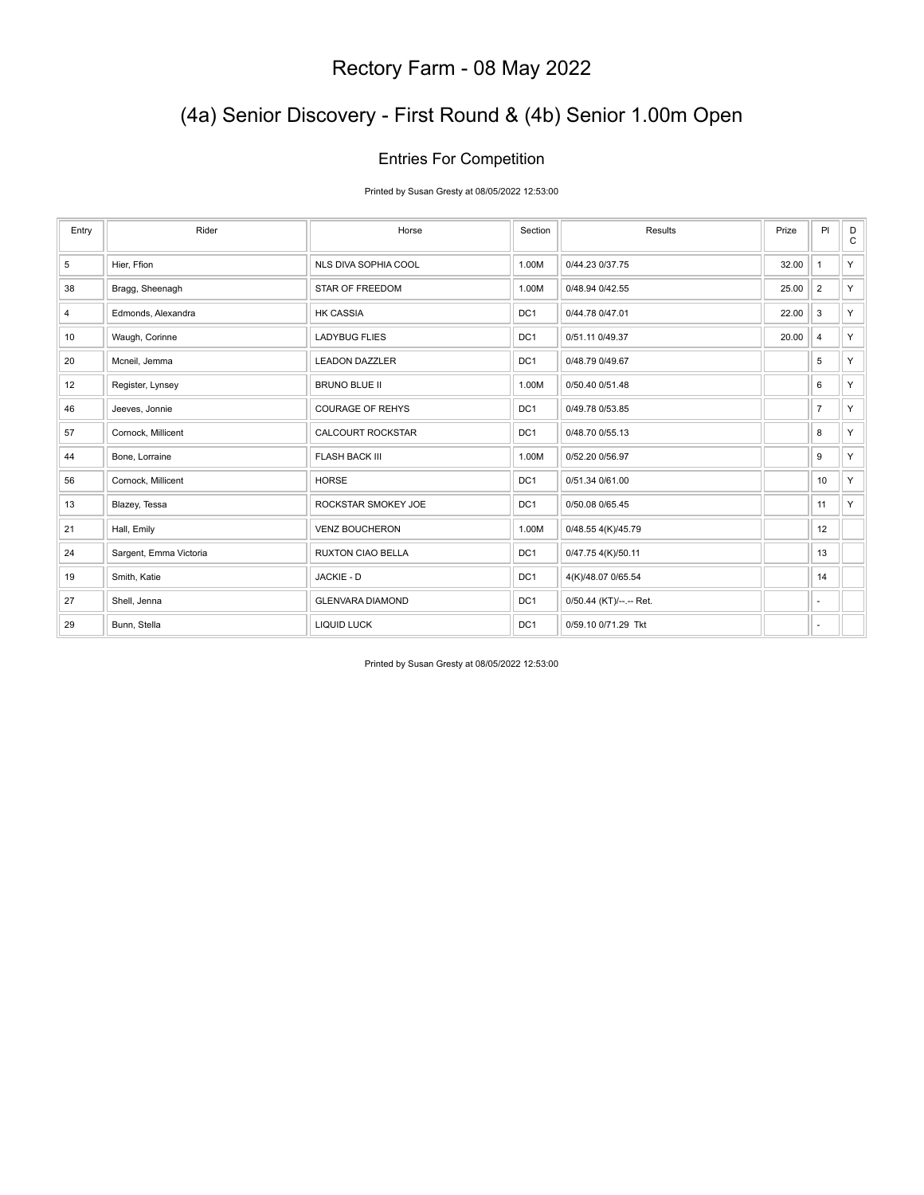# (4a) Senior Discovery - First Round & (4b) Senior 1.00m Open

#### Entries For Competition

Printed by Susan Gresty at 08/05/2022 12:53:00

| Entry          | Rider                  | Horse                    | Section         | Results                 | Prize | PI             | D<br>$\mathsf{C}$ |
|----------------|------------------------|--------------------------|-----------------|-------------------------|-------|----------------|-------------------|
| 5              | Hier, Ffion            | NLS DIVA SOPHIA COOL     | 1.00M           | 0/44.23 0/37.75         | 32.00 | $\mathbf{1}$   | Y                 |
| 38             | Bragg, Sheenagh        | STAR OF FREEDOM          | 1.00M           | 0/48.94 0/42.55         | 25.00 | $\vert$ 2      | Y                 |
| $\overline{4}$ | Edmonds, Alexandra     | <b>HK CASSIA</b>         | DC1             | 0/44.78 0/47.01         | 22.00 | 3              | Y                 |
| 10             | Waugh, Corinne         | <b>LADYBUG FLIES</b>     | DC1             | 0/51.11 0/49.37         | 20.00 | $\overline{4}$ | Y                 |
| 20             | Mcneil, Jemma          | <b>LEADON DAZZLER</b>    | DC1             | 0/48.79 0/49.67         |       | 5              | Y.                |
| 12             | Register, Lynsey       | <b>BRUNO BLUE II</b>     | 1.00M           | 0/50.40 0/51.48         |       | 6              | Y                 |
| 46             | Jeeves, Jonnie         | <b>COURAGE OF REHYS</b>  | DC1             | 0/49.78 0/53.85         |       | $\overline{7}$ | Y                 |
| 57             | Cornock, Millicent     | CALCOURT ROCKSTAR        | DC1             | 0/48.70 0/55.13         |       | 8              | Y                 |
| 44             | Bone, Lorraine         | <b>FLASH BACK III</b>    | 1.00M           | 0/52.20 0/56.97         |       | 9              | Y                 |
| 56             | Cornock, Millicent     | <b>HORSE</b>             | DC1             | 0/51.34 0/61.00         |       | 10             | Y                 |
| 13             | Blazey, Tessa          | ROCKSTAR SMOKEY JOE      | DC1             | 0/50.08 0/65.45         |       | 11             | Y                 |
| 21             | Hall, Emily            | <b>VENZ BOUCHERON</b>    | 1.00M           | 0/48.55 4(K)/45.79      |       | 12             |                   |
| 24             | Sargent, Emma Victoria | <b>RUXTON CIAO BELLA</b> | DC <sub>1</sub> | 0/47.75 4(K)/50.11      |       | 13             |                   |
| 19             | Smith, Katie           | JACKIE - D               | DC1             | 4(K)/48.07 0/65.54      |       | 14             |                   |
| 27             | Shell, Jenna           | <b>GLENVARA DIAMOND</b>  | DC1             | 0/50.44 (KT)/--.-- Ret. |       | $\sim$         |                   |
| 29             | Bunn, Stella           | <b>LIQUID LUCK</b>       | DC <sub>1</sub> | 0/59.10 0/71.29 Tkt     |       | ٠              |                   |

Printed by Susan Gresty at 08/05/2022 12:53:00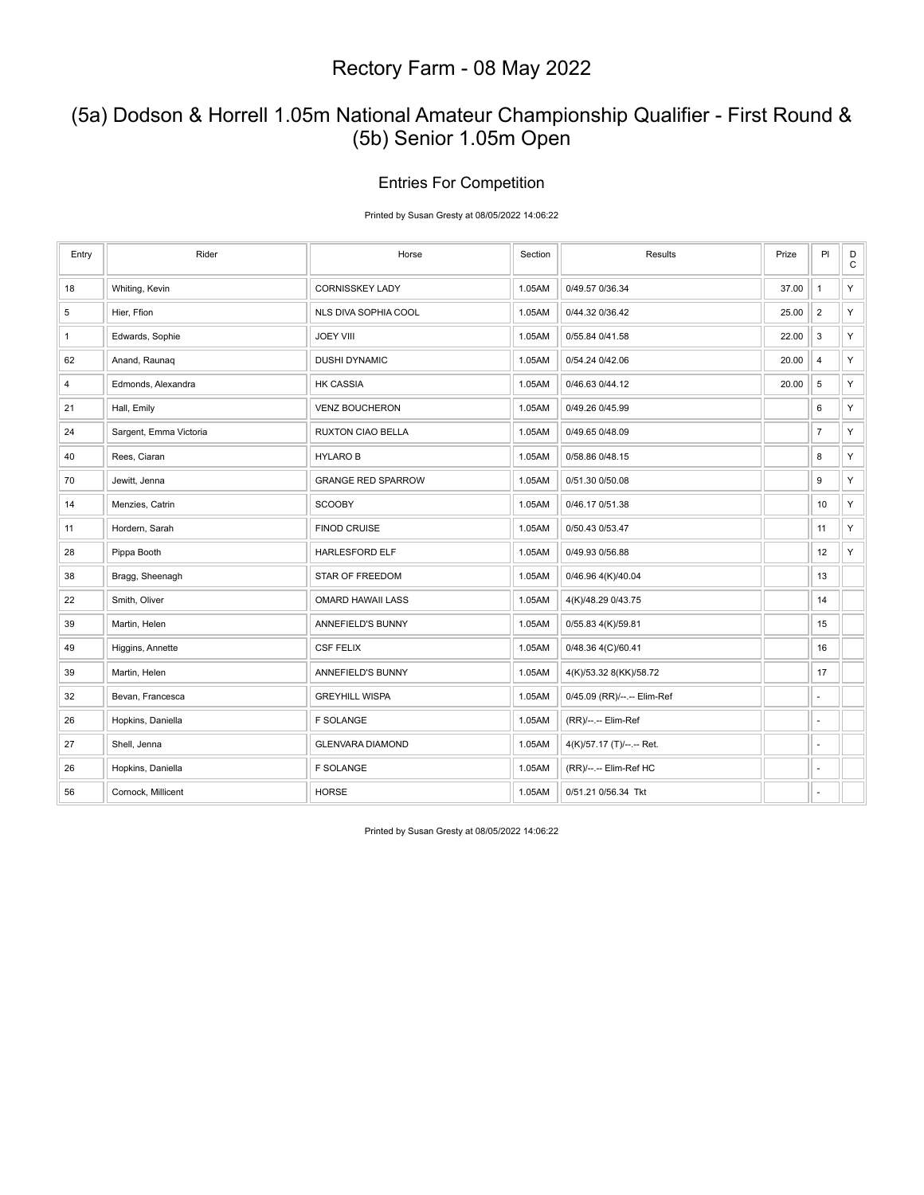## (5a) Dodson & Horrell 1.05m National Amateur Championship Qualifier - First Round & (5b) Senior 1.05m Open

#### Entries For Competition

Printed by Susan Gresty at 08/05/2022 14:06:22

| Entry          | Rider                  | Horse                     | Section | Results                     | Prize | PI             | $_{\rm C}^{\rm D}$ |
|----------------|------------------------|---------------------------|---------|-----------------------------|-------|----------------|--------------------|
| 18             | Whiting, Kevin         | <b>CORNISSKEY LADY</b>    | 1.05AM  | 0/49.57 0/36.34             | 37.00 | $\mathbf{1}$   | Y                  |
| $\mathbf 5$    | Hier, Ffion            | NLS DIVA SOPHIA COOL      | 1.05AM  | 0/44.32 0/36.42             | 25.00 | $\sqrt{2}$     | Y                  |
| $\mathbf{1}$   | Edwards, Sophie        | <b>JOEY VIII</b>          | 1.05AM  | 0/55.84 0/41.58             | 22.00 | $\mathbf{3}$   | Y                  |
| 62             | Anand, Raunaq          | <b>DUSHI DYNAMIC</b>      | 1.05AM  | 0/54.24 0/42.06             | 20.00 | $\overline{4}$ | Y                  |
| $\overline{4}$ | Edmonds, Alexandra     | <b>HK CASSIA</b>          | 1.05AM  | 0/46.63 0/44.12             | 20.00 | 5              | Y                  |
| 21             | Hall, Emily            | <b>VENZ BOUCHERON</b>     | 1.05AM  | 0/49.26 0/45.99             |       | 6              | Y                  |
| 24             | Sargent, Emma Victoria | <b>RUXTON CIAO BELLA</b>  | 1.05AM  | 0/49.65 0/48.09             |       | $\overline{7}$ | Y                  |
| 40             | Rees, Ciaran           | <b>HYLAROB</b>            | 1.05AM  | 0/58.86 0/48.15             |       | 8              | Y                  |
| 70             | Jewitt, Jenna          | <b>GRANGE RED SPARROW</b> | 1.05AM  | 0/51.30 0/50.08             |       | 9              | Y                  |
| 14             | Menzies, Catrin        | <b>SCOOBY</b>             | 1.05AM  | 0/46.17 0/51.38             |       | 10             | Y                  |
| 11             | Hordern, Sarah         | <b>FINOD CRUISE</b>       | 1.05AM  | 0/50.43 0/53.47             |       | 11             | Y                  |
| 28             | Pippa Booth            | <b>HARLESFORD ELF</b>     | 1.05AM  | 0/49.93 0/56.88             |       | 12             | Y                  |
| 38             | Bragg, Sheenagh        | STAR OF FREEDOM           | 1.05AM  | 0/46.96 4(K)/40.04          |       | 13             |                    |
| 22             | Smith, Oliver          | <b>OMARD HAWAII LASS</b>  | 1.05AM  | 4(K)/48.29 0/43.75          |       | 14             |                    |
| 39             | Martin, Helen          | ANNEFIELD'S BUNNY         | 1.05AM  | 0/55.83 4(K)/59.81          |       | 15             |                    |
| 49             | Higgins, Annette       | <b>CSF FELIX</b>          | 1.05AM  | 0/48.36 4(C)/60.41          |       | 16             |                    |
| 39             | Martin, Helen          | ANNEFIELD'S BUNNY         | 1.05AM  | 4(K)/53.32 8(KK)/58.72      |       | 17             |                    |
| 32             | Bevan, Francesca       | <b>GREYHILL WISPA</b>     | 1.05AM  | 0/45.09 (RR)/--.-- Elim-Ref |       | ×.             |                    |
| 26             | Hopkins, Daniella      | <b>F SOLANGE</b>          | 1.05AM  | (RR)/--.-- Elim-Ref         |       |                |                    |
| 27             | Shell, Jenna           | <b>GLENVARA DIAMOND</b>   | 1.05AM  | 4(K)/57.17 (T)/--.-- Ret.   |       |                |                    |
| 26             | Hopkins, Daniella      | <b>F SOLANGE</b>          | 1.05AM  | (RR)/--.-- Elim-Ref HC      |       |                |                    |
| 56             | Cornock, Millicent     | <b>HORSE</b>              | 1.05AM  | 0/51.21 0/56.34 Tkt         |       |                |                    |

Printed by Susan Gresty at 08/05/2022 14:06:22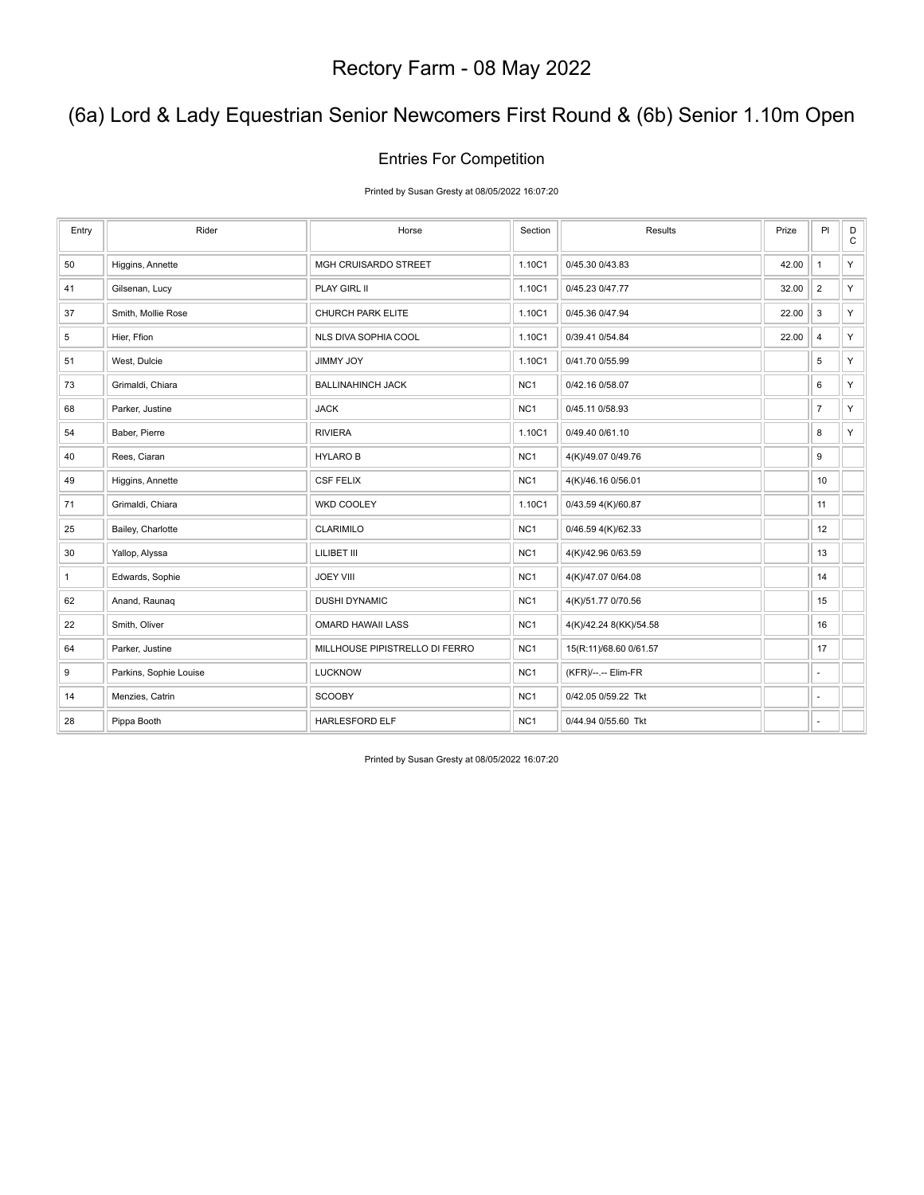# (6a) Lord & Lady Equestrian Senior Newcomers First Round & (6b) Senior 1.10m Open

## Entries For Competition

Printed by Susan Gresty at 08/05/2022 16:07:20

| Entry        | Rider                  | Horse                          | Section         | Results                | Prize | P <sub>1</sub> | D<br>$\mathtt{C}$ |
|--------------|------------------------|--------------------------------|-----------------|------------------------|-------|----------------|-------------------|
| 50           | Higgins, Annette       | <b>MGH CRUISARDO STREET</b>    | 1.10C1          | 0/45.30 0/43.83        | 42.00 | $\overline{1}$ | Y.                |
| 41           | Gilsenan, Lucy         | PLAY GIRL II                   | 1.10C1          | 0/45.23 0/47.77        | 32.00 | $\overline{2}$ | Y.                |
| 37           | Smith, Mollie Rose     | CHURCH PARK ELITE              | 1.10C1          | 0/45.36 0/47.94        | 22.00 | 3              | Y.                |
| 5            | Hier, Ffion            | NLS DIVA SOPHIA COOL           | 1.10C1          | 0/39.41 0/54.84        | 22.00 | $\overline{4}$ | Y.                |
| 51           | West, Dulcie           | <b>JIMMY JOY</b>               | 1.10C1          | 0/41.70 0/55.99        |       | 5              | Y.                |
| 73           | Grimaldi, Chiara       | <b>BALLINAHINCH JACK</b>       | NC <sub>1</sub> | 0/42.16 0/58.07        |       | 6              | Y.                |
| 68           | Parker, Justine        | <b>JACK</b>                    | NC <sub>1</sub> | 0/45.11 0/58.93        |       | $\overline{7}$ | Y.                |
| 54           | Baber, Pierre          | <b>RIVIERA</b>                 | 1.10C1          | 0/49.40 0/61.10        |       | 8              | Y.                |
| 40           | Rees, Ciaran           | <b>HYLAROB</b>                 | NC <sub>1</sub> | 4(K)/49.07 0/49.76     |       | 9              |                   |
| 49           | Higgins, Annette       | <b>CSF FELIX</b>               | NC <sub>1</sub> | 4(K)/46.16 0/56.01     |       | 10             |                   |
| 71           | Grimaldi, Chiara       | WKD COOLEY                     | 1.10C1          | 0/43.59 4(K)/60.87     |       | 11             |                   |
| 25           | Bailey, Charlotte      | CLARIMILO                      | NC <sub>1</sub> | 0/46.59 4(K)/62.33     |       | 12             |                   |
| 30           | Yallop, Alyssa         | LILIBET III                    | NC <sub>1</sub> | 4(K)/42.96 0/63.59     |       | 13             |                   |
| $\mathbf{1}$ | Edwards, Sophie        | <b>JOEY VIII</b>               | NC <sub>1</sub> | 4(K)/47.07 0/64.08     |       | 14             |                   |
| 62           | Anand, Raunaq          | <b>DUSHI DYNAMIC</b>           | NC <sub>1</sub> | 4(K)/51.77 0/70.56     |       | 15             |                   |
| 22           | Smith, Oliver          | <b>OMARD HAWAII LASS</b>       | NC <sub>1</sub> | 4(K)/42.24 8(KK)/54.58 |       | 16             |                   |
| 64           | Parker, Justine        | MILLHOUSE PIPISTRELLO DI FERRO | NC <sub>1</sub> | 15(R:11)/68.60 0/61.57 |       | 17             |                   |
| 9            | Parkins, Sophie Louise | <b>LUCKNOW</b>                 | NC <sub>1</sub> | (KFR)/--.-- Elim-FR    |       | ÷.             |                   |
| 14           | Menzies, Catrin        | <b>SCOOBY</b>                  | NC <sub>1</sub> | 0/42.05 0/59.22 Tkt    |       | ÷,             |                   |
| 28           | Pippa Booth            | HARLESFORD ELF                 | NC <sub>1</sub> | 0/44.94 0/55.60 Tkt    |       | ÷,             |                   |

Printed by Susan Gresty at 08/05/2022 16:07:20